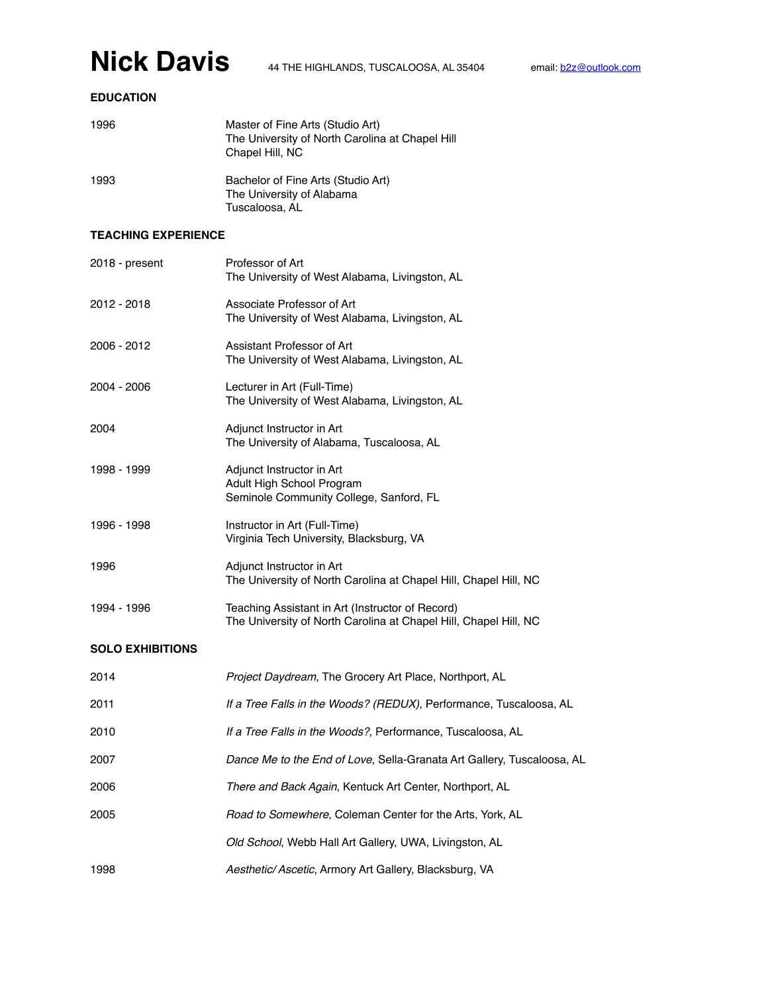### **EDUCATION**

| 1996 | Master of Fine Arts (Studio Art)<br>The University of North Carolina at Chapel Hill<br>Chapel Hill, NC |
|------|--------------------------------------------------------------------------------------------------------|
| 1993 | Bachelor of Fine Arts (Studio Art)<br>The University of Alabama<br>Tuscaloosa, AL                      |

#### **TEACHING EXPERIENCE**

| 2018 - present          | Professor of Art<br>The University of West Alabama, Livingston, AL                                                   |
|-------------------------|----------------------------------------------------------------------------------------------------------------------|
| 2012 - 2018             | Associate Professor of Art<br>The University of West Alabama, Livingston, AL                                         |
| 2006 - 2012             | Assistant Professor of Art<br>The University of West Alabama, Livingston, AL                                         |
| 2004 - 2006             | Lecturer in Art (Full-Time)<br>The University of West Alabama, Livingston, AL                                        |
| 2004                    | Adjunct Instructor in Art<br>The University of Alabama, Tuscaloosa, AL                                               |
| 1998 - 1999             | Adjunct Instructor in Art<br>Adult High School Program<br>Seminole Community College, Sanford, FL                    |
| 1996 - 1998             | Instructor in Art (Full-Time)<br>Virginia Tech University, Blacksburg, VA                                            |
| 1996                    | Adjunct Instructor in Art<br>The University of North Carolina at Chapel Hill, Chapel Hill, NC                        |
| 1994 - 1996             | Teaching Assistant in Art (Instructor of Record)<br>The University of North Carolina at Chapel Hill, Chapel Hill, NC |
| <b>SOLO EXHIBITIONS</b> |                                                                                                                      |
| 2014                    | Project Daydream, The Grocery Art Place, Northport, AL                                                               |
| 2011                    | If a Tree Falls in the Woods? (REDUX), Performance, Tuscaloosa, AL                                                   |
| 2010                    | If a Tree Falls in the Woods?, Performance, Tuscaloosa, AL                                                           |
| 2007                    | Dance Me to the End of Love, Sella-Granata Art Gallery, Tuscaloosa, AL                                               |
| 2006                    | There and Back Again, Kentuck Art Center, Northport, AL                                                              |
| 2005                    | Road to Somewhere, Coleman Center for the Arts, York, AL                                                             |
|                         | Old School, Webb Hall Art Gallery, UWA, Livingston, AL                                                               |
| 1998                    | Aesthetic/ Ascetic, Armory Art Gallery, Blacksburg, VA                                                               |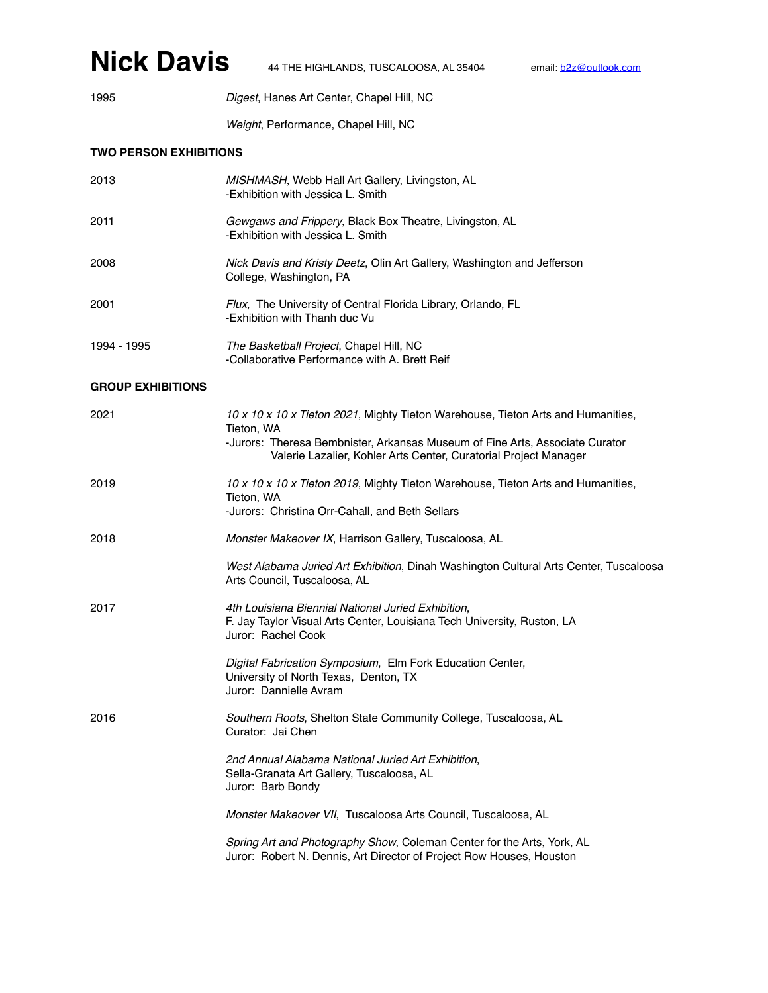### **Nick Davis** 44 THE HIGHLANDS, TUSCALOOSA, AL 35404 email: <u>[b2z@outlook.com](mailto:b2z@outlook.com)</u>

1995 *Digest*, Hanes Art Center, Chapel Hill, NC

*Weight*, Performance, Chapel Hill, NC

#### **TWO PERSON EXHIBITIONS**

| 2013        | MISHMASH, Webb Hall Art Gallery, Livingston, AL<br>-Exhibition with Jessica L. Smith                      |
|-------------|-----------------------------------------------------------------------------------------------------------|
| 2011        | Gewgaws and Frippery, Black Box Theatre, Livingston, AL<br>-Exhibition with Jessica L. Smith              |
| 2008        | <i>Nick Davis and Kristy Deetz, Olin Art Gallery, Washington and Jefferson</i><br>College, Washington, PA |
| 2001        | <i>Flux</i> , The University of Central Florida Library, Orlando, FL<br>-Exhibition with Thanh duc Vu     |
| 1994 - 1995 | The Basketball Project, Chapel Hill, NC<br>-Collaborative Performance with A. Brett Reif                  |

#### **GROUP EXHIBITIONS**

| 2021 | 10 x 10 x 10 x Tieton 2021, Mighty Tieton Warehouse, Tieton Arts and Humanities,<br>Tieton, WA<br>-Jurors: Theresa Bembnister, Arkansas Museum of Fine Arts, Associate Curator |
|------|--------------------------------------------------------------------------------------------------------------------------------------------------------------------------------|
|      | Valerie Lazalier, Kohler Arts Center, Curatorial Project Manager                                                                                                               |
| 2019 | 10 x 10 x 10 x Tieton 2019, Mighty Tieton Warehouse, Tieton Arts and Humanities,<br>Tieton, WA                                                                                 |
|      | -Jurors: Christina Orr-Cahall, and Beth Sellars                                                                                                                                |
| 2018 | Monster Makeover IX, Harrison Gallery, Tuscaloosa, AL                                                                                                                          |
|      | West Alabama Juried Art Exhibition, Dinah Washington Cultural Arts Center, Tuscaloosa<br>Arts Council, Tuscaloosa, AL                                                          |
| 2017 | 4th Louisiana Biennial National Juried Exhibition,<br>F. Jay Taylor Visual Arts Center, Louisiana Tech University, Ruston, LA<br>Juror: Rachel Cook                            |
|      | Digital Fabrication Symposium, Elm Fork Education Center,<br>University of North Texas, Denton, TX<br>Juror: Dannielle Avram                                                   |
| 2016 | Southern Roots, Shelton State Community College, Tuscaloosa, AL<br>Curator: Jai Chen                                                                                           |
|      | 2nd Annual Alabama National Juried Art Exhibition,<br>Sella-Granata Art Gallery, Tuscaloosa, AL<br>Juror: Barb Bondy                                                           |
|      | Monster Makeover VII, Tuscaloosa Arts Council, Tuscaloosa, AL                                                                                                                  |
|      | Spring Art and Photography Show, Coleman Center for the Arts, York, AL<br>Juror: Robert N. Dennis, Art Director of Project Row Houses, Houston                                 |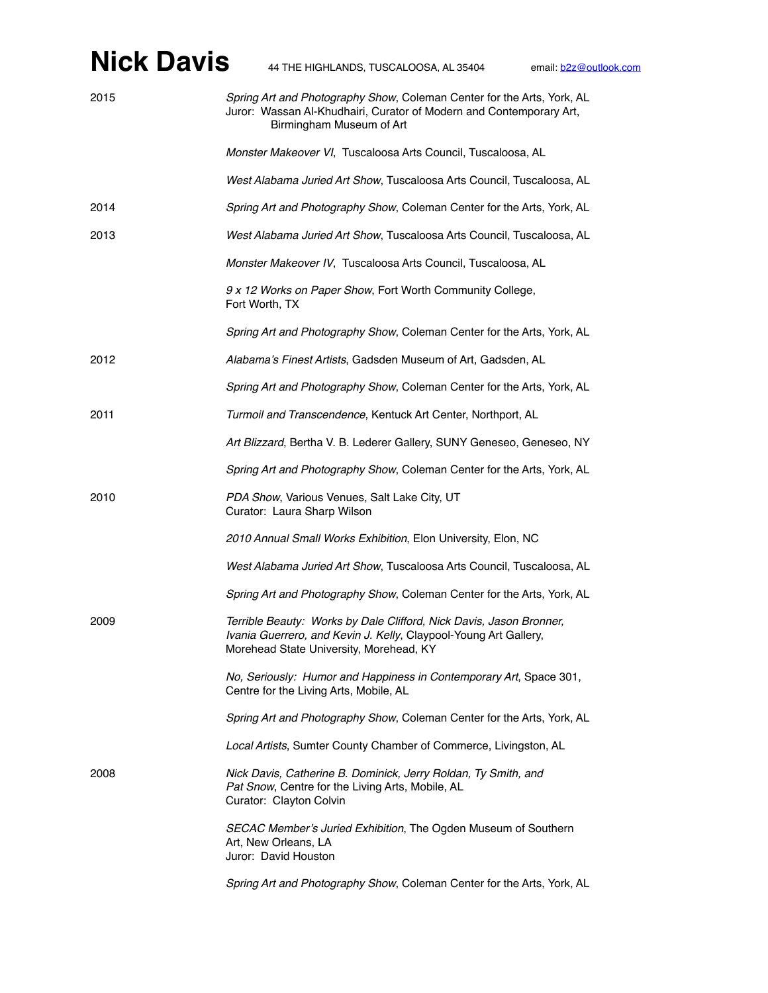| 2015 | Spring Art and Photography Show, Coleman Center for the Arts, York, AL<br>Juror: Wassan Al-Khudhairi, Curator of Modern and Contemporary Art,<br>Birmingham Museum of Art          |
|------|------------------------------------------------------------------------------------------------------------------------------------------------------------------------------------|
|      | Monster Makeover VI, Tuscaloosa Arts Council, Tuscaloosa, AL                                                                                                                       |
|      | West Alabama Juried Art Show, Tuscaloosa Arts Council, Tuscaloosa, AL                                                                                                              |
| 2014 | Spring Art and Photography Show, Coleman Center for the Arts, York, AL                                                                                                             |
| 2013 | West Alabama Juried Art Show, Tuscaloosa Arts Council, Tuscaloosa, AL                                                                                                              |
|      | Monster Makeover IV, Tuscaloosa Arts Council, Tuscaloosa, AL                                                                                                                       |
|      | 9 x 12 Works on Paper Show, Fort Worth Community College,<br>Fort Worth, TX                                                                                                        |
|      | Spring Art and Photography Show, Coleman Center for the Arts, York, AL                                                                                                             |
| 2012 | Alabama's Finest Artists, Gadsden Museum of Art, Gadsden, AL                                                                                                                       |
|      | Spring Art and Photography Show, Coleman Center for the Arts, York, AL                                                                                                             |
| 2011 | Turmoil and Transcendence, Kentuck Art Center, Northport, AL                                                                                                                       |
|      | Art Blizzard, Bertha V. B. Lederer Gallery, SUNY Geneseo, Geneseo, NY                                                                                                              |
|      | Spring Art and Photography Show, Coleman Center for the Arts, York, AL                                                                                                             |
| 2010 | PDA Show, Various Venues, Salt Lake City, UT<br>Curator: Laura Sharp Wilson                                                                                                        |
|      | 2010 Annual Small Works Exhibition, Elon University, Elon, NC                                                                                                                      |
|      | West Alabama Juried Art Show, Tuscaloosa Arts Council, Tuscaloosa, AL                                                                                                              |
|      | Spring Art and Photography Show, Coleman Center for the Arts, York, AL                                                                                                             |
| 2009 | Terrible Beauty: Works by Dale Clifford, Nick Davis, Jason Bronner,<br>Ivania Guerrero, and Kevin J. Kelly, Claypool-Young Art Gallery,<br>Morehead State University, Morehead, KY |
|      | No, Seriously: Humor and Happiness in Contemporary Art, Space 301,<br>Centre for the Living Arts, Mobile, AL                                                                       |
|      | Spring Art and Photography Show, Coleman Center for the Arts, York, AL                                                                                                             |
|      | Local Artists, Sumter County Chamber of Commerce, Livingston, AL                                                                                                                   |
| 2008 | Nick Davis, Catherine B. Dominick, Jerry Roldan, Ty Smith, and<br>Pat Snow, Centre for the Living Arts, Mobile, AL<br>Curator: Clayton Colvin                                      |
|      | SECAC Member's Juried Exhibition, The Ogden Museum of Southern<br>Art, New Orleans, LA<br>Juror: David Houston                                                                     |
|      | Spring Art and Photography Show, Coleman Center for the Arts, York, AL                                                                                                             |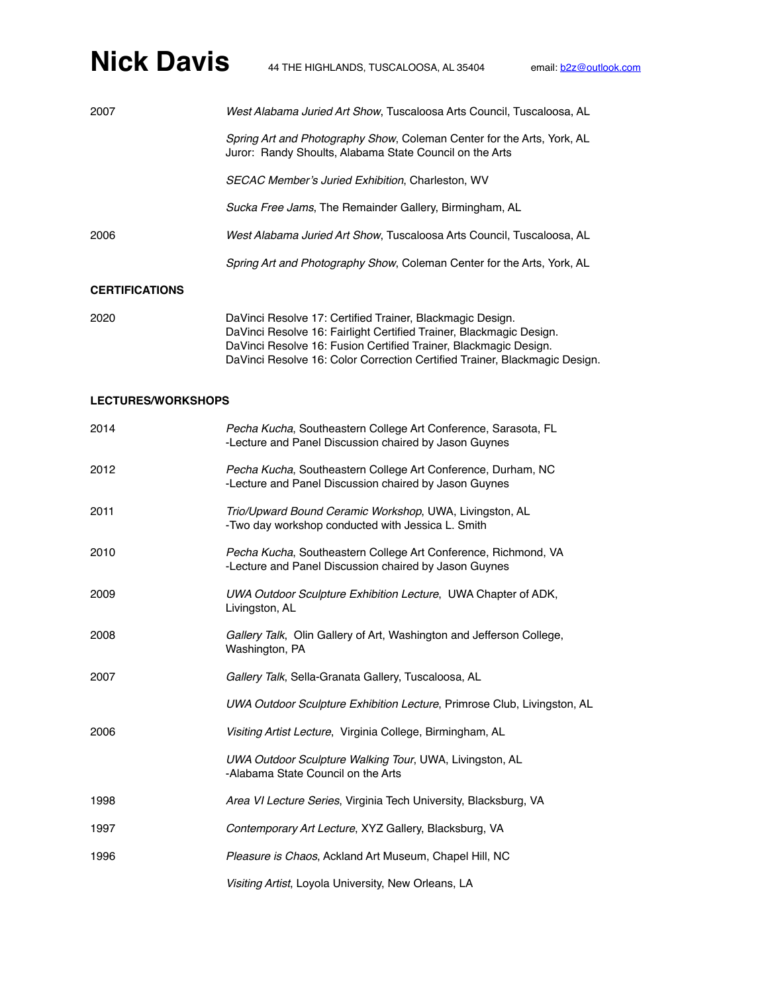| 2007                  | West Alabama Juried Art Show, Tuscaloosa Arts Council, Tuscaloosa, AL                                                             |
|-----------------------|-----------------------------------------------------------------------------------------------------------------------------------|
|                       | Spring Art and Photography Show, Coleman Center for the Arts, York, AL<br>Juror: Randy Shoults, Alabama State Council on the Arts |
|                       | <b>SECAC Member's Juried Exhibition, Charleston, WV</b>                                                                           |
|                       | Sucka Free Jams, The Remainder Gallery, Birmingham, AL                                                                            |
| 2006                  | West Alabama Juried Art Show, Tuscaloosa Arts Council, Tuscaloosa, AL                                                             |
|                       | Spring Art and Photography Show, Coleman Center for the Arts, York, AL                                                            |
| <b>CERTIFICATIONS</b> |                                                                                                                                   |

| 2020 | DaVinci Resolve 17: Certified Trainer, Blackmagic Design.                  |
|------|----------------------------------------------------------------------------|
|      | DaVinci Resolve 16: Fairlight Certified Trainer, Blackmagic Design.        |
|      | DaVinci Resolve 16: Fusion Certified Trainer, Blackmagic Design.           |
|      | DaVinci Resolve 16: Color Correction Certified Trainer, Blackmagic Design. |

#### **LECTURES/WORKSHOPS**

| 2014 | Pecha Kucha, Southeastern College Art Conference, Sarasota, FL<br>-Lecture and Panel Discussion chaired by Jason Guynes |
|------|-------------------------------------------------------------------------------------------------------------------------|
| 2012 | Pecha Kucha, Southeastern College Art Conference, Durham, NC<br>-Lecture and Panel Discussion chaired by Jason Guynes   |
| 2011 | Trio/Upward Bound Ceramic Workshop, UWA, Livingston, AL<br>-Two day workshop conducted with Jessica L. Smith            |
| 2010 | Pecha Kucha, Southeastern College Art Conference, Richmond, VA<br>-Lecture and Panel Discussion chaired by Jason Guynes |
| 2009 | UWA Outdoor Sculpture Exhibition Lecture, UWA Chapter of ADK,<br>Livingston, AL                                         |
| 2008 | Gallery Talk, Olin Gallery of Art, Washington and Jefferson College,<br>Washington, PA                                  |
| 2007 | Gallery Talk, Sella-Granata Gallery, Tuscaloosa, AL                                                                     |
|      | UWA Outdoor Sculpture Exhibition Lecture, Primrose Club, Livingston, AL                                                 |
| 2006 | Visiting Artist Lecture, Virginia College, Birmingham, AL                                                               |
|      | UWA Outdoor Sculpture Walking Tour, UWA, Livingston, AL<br>-Alabama State Council on the Arts                           |
| 1998 | Area VI Lecture Series, Virginia Tech University, Blacksburg, VA                                                        |
| 1997 | Contemporary Art Lecture, XYZ Gallery, Blacksburg, VA                                                                   |
| 1996 | Pleasure is Chaos, Ackland Art Museum, Chapel Hill, NC                                                                  |
|      | Visiting Artist, Loyola University, New Orleans, LA                                                                     |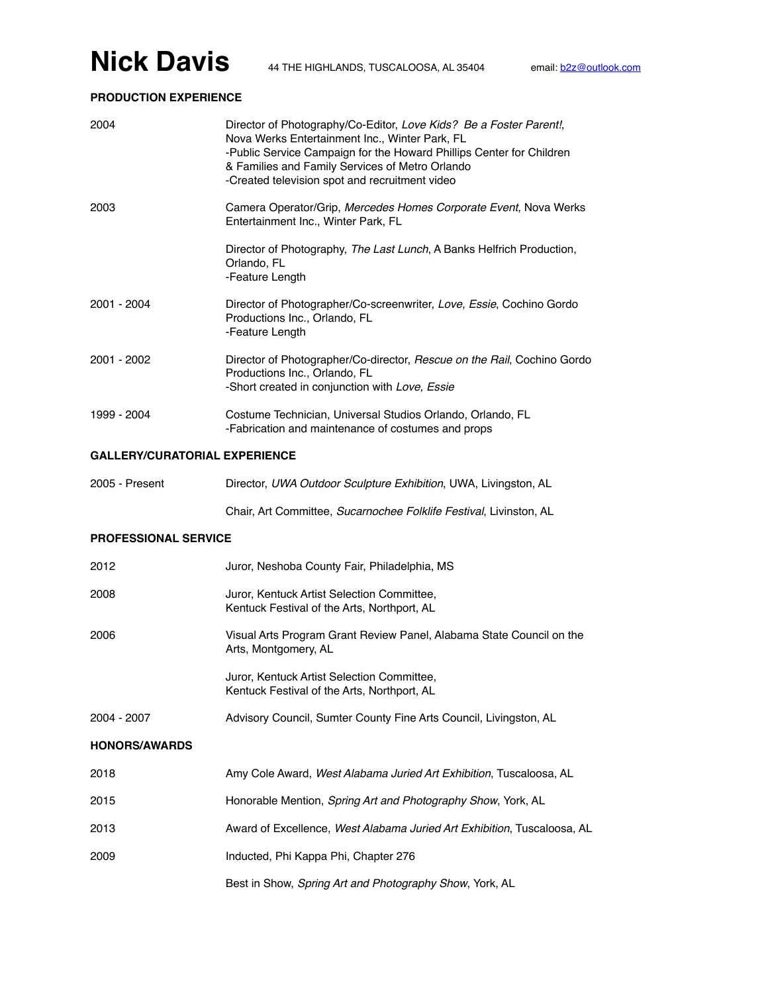## **Nick Davis** 44 THE HIGHLANDS, TUSCALOOSA, AL 35404 email: <u>[b2z@outlook.com](mailto:b2z@outlook.com)</u>

### **PRODUCTION EXPERIENCE**

| 2004                                 | Director of Photography/Co-Editor, Love Kids? Be a Foster Parent!,<br>Nova Werks Entertainment Inc., Winter Park, FL<br>-Public Service Campaign for the Howard Phillips Center for Children<br>& Families and Family Services of Metro Orlando<br>-Created television spot and recruitment video |
|--------------------------------------|---------------------------------------------------------------------------------------------------------------------------------------------------------------------------------------------------------------------------------------------------------------------------------------------------|
| 2003                                 | Camera Operator/Grip, Mercedes Homes Corporate Event, Nova Werks<br>Entertainment Inc., Winter Park, FL                                                                                                                                                                                           |
|                                      | Director of Photography, The Last Lunch, A Banks Helfrich Production,<br>Orlando, FL<br>-Feature Length                                                                                                                                                                                           |
| 2001 - 2004                          | Director of Photographer/Co-screenwriter, Love, Essie, Cochino Gordo<br>Productions Inc., Orlando, FL<br>-Feature Length                                                                                                                                                                          |
| 2001 - 2002                          | Director of Photographer/Co-director, Rescue on the Rail, Cochino Gordo<br>Productions Inc., Orlando, FL<br>-Short created in conjunction with Love, Essie                                                                                                                                        |
| 1999 - 2004                          | Costume Technician, Universal Studios Orlando, Orlando, FL<br>-Fabrication and maintenance of costumes and props                                                                                                                                                                                  |
| <b>GALLERY/CURATORIAL EXPERIENCE</b> |                                                                                                                                                                                                                                                                                                   |
| 2005 - Present                       | Director, UWA Outdoor Sculpture Exhibition, UWA, Livingston, AL                                                                                                                                                                                                                                   |
|                                      | Chair, Art Committee, Sucarnochee Folklife Festival, Livinston, AL                                                                                                                                                                                                                                |
| <b>PROFESSIONAL SERVICE</b>          |                                                                                                                                                                                                                                                                                                   |
| 2012                                 | Juror, Neshoba County Fair, Philadelphia, MS                                                                                                                                                                                                                                                      |
| 2008                                 | Juror, Kentuck Artist Selection Committee,<br>Kentuck Festival of the Arts, Northport, AL                                                                                                                                                                                                         |
| 2006                                 | Visual Arts Program Grant Review Panel, Alabama State Council on the<br>Arts, Montgomery, AL                                                                                                                                                                                                      |
|                                      | Juror, Kentuck Artist Selection Committee<br>Kentuck Festival of the Arts, Northport, AL                                                                                                                                                                                                          |
| 2004 - 2007                          | Advisory Council, Sumter County Fine Arts Council, Livingston, AL                                                                                                                                                                                                                                 |
| <b>HONORS/AWARDS</b>                 |                                                                                                                                                                                                                                                                                                   |
| 2018                                 | Amy Cole Award, West Alabama Juried Art Exhibition, Tuscaloosa, AL                                                                                                                                                                                                                                |
| 2015                                 | Honorable Mention, Spring Art and Photography Show, York, AL                                                                                                                                                                                                                                      |
| 2013                                 | Award of Excellence, West Alabama Juried Art Exhibition, Tuscaloosa, AL                                                                                                                                                                                                                           |
| 2009                                 | Inducted, Phi Kappa Phi, Chapter 276                                                                                                                                                                                                                                                              |

Best in Show, *Spring Art and Photography Show*, York, AL